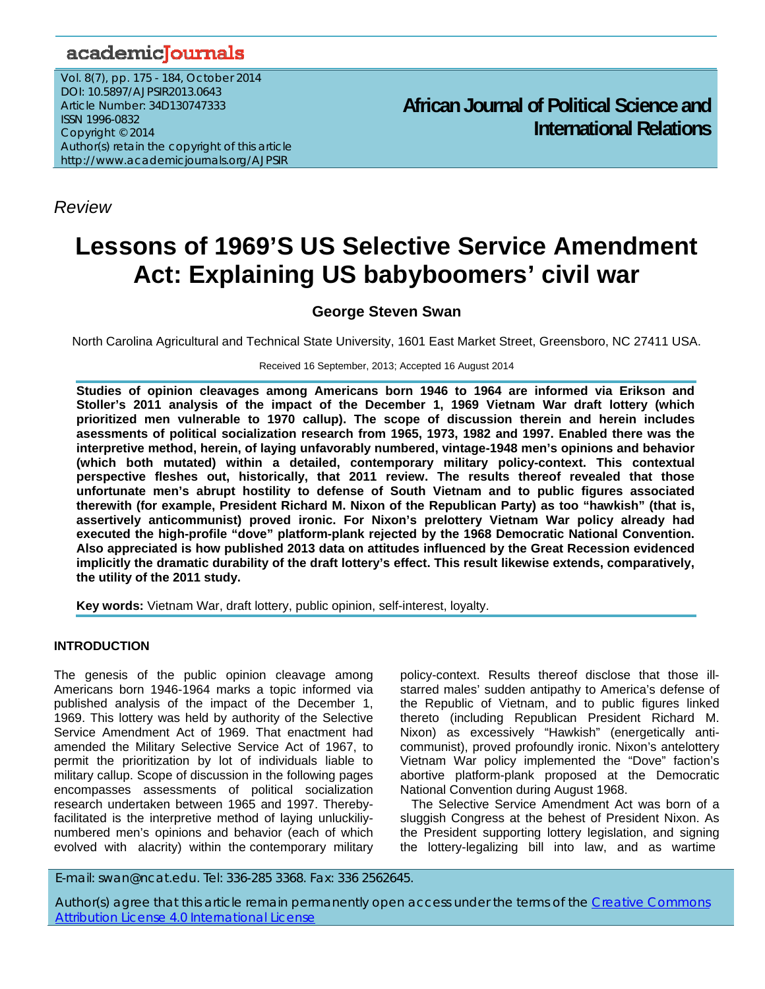## academicJournals

*Review*

Vol. 8(7), pp. 175 - 184, October 2014 DOI: 10.5897/AJPSIR2013.0643 Article Number: 34D130747333 ISSN 1996-0832 Copyright © 2014 Author(s) retain the copyright of this article http://www.academicjournals.org/AJPSIR

**African Journal of Political Science and International Relations**

# **Lessons of 1969'S US Selective Service Amendment Act: Explaining US babyboomers' civil war**

### **George Steven Swan**

North Carolina Agricultural and Technical State University, 1601 East Market Street, Greensboro, NC 27411 USA.

Received 16 September, 2013; Accepted 16 August 2014

**Studies of opinion cleavages among Americans born 1946 to 1964 are informed via Erikson and Stoller's 2011 analysis of the impact of the December 1, 1969 Vietnam War draft lottery (which prioritized men vulnerable to 1970 callup). The scope of discussion therein and herein includes asessments of political socialization research from 1965, 1973, 1982 and 1997. Enabled there was the interpretive method, herein, of laying unfavorably numbered, vintage-1948 men's opinions and behavior (which both mutated) within a detailed, contemporary military policy-context. This contextual perspective fleshes out, historically, that 2011 review. The results thereof revealed that those unfortunate men's abrupt hostility to defense of South Vietnam and to public figures associated therewith (for example, President Richard M. Nixon of the Republican Party) as too "hawkish" (that is, assertively anticommunist) proved ironic. For Nixon's prelottery Vietnam War policy already had executed the high-profile "dove" platform-plank rejected by the 1968 Democratic National Convention. Also appreciated is how published 2013 data on attitudes influenced by the Great Recession evidenced implicitly the dramatic durability of the draft lottery's effect. This result likewise extends, comparatively, the utility of the 2011 study.** 

**Key words:** Vietnam War, draft lottery, public opinion, self-interest, loyalty.

#### **INTRODUCTION**

The genesis of the public opinion cleavage among Americans born 1946-1964 marks a topic informed via published analysis of the impact of the December 1, 1969. This lottery was held by authority of the Selective Service Amendment Act of 1969. That enactment had amended the Military Selective Service Act of 1967, to permit the prioritization by lot of individuals liable to military callup. Scope of discussion in the following pages encompasses assessments of political socialization research undertaken between 1965 and 1997. Therebyfacilitated is the interpretive method of laying unluckiliynumbered men's opinions and behavior (each of which evolved with alacrity) within the contemporary military

policy-context. Results thereof disclose that those illstarred males' sudden antipathy to America's defense of the Republic of Vietnam, and to public figures linked thereto (including Republican President Richard M. Nixon) as excessively "Hawkish" (energetically anticommunist), proved profoundly ironic. Nixon's antelottery Vietnam War policy implemented the "Dove" faction's abortive platform-plank proposed at the Democratic National Convention during August 1968.

The Selective Service Amendment Act was born of a sluggish Congress at the behest of President Nixon. As the President supporting lottery legislation, and signing the lottery-legalizing bill into law, and as wartime

E-mail: swan@ncat.edu. Tel: 336-285 3368. Fax: 336 2562645.

Author(s) agree that this article remain permanently open access under the terms of the Creative Commons Attribution License 4.0 International License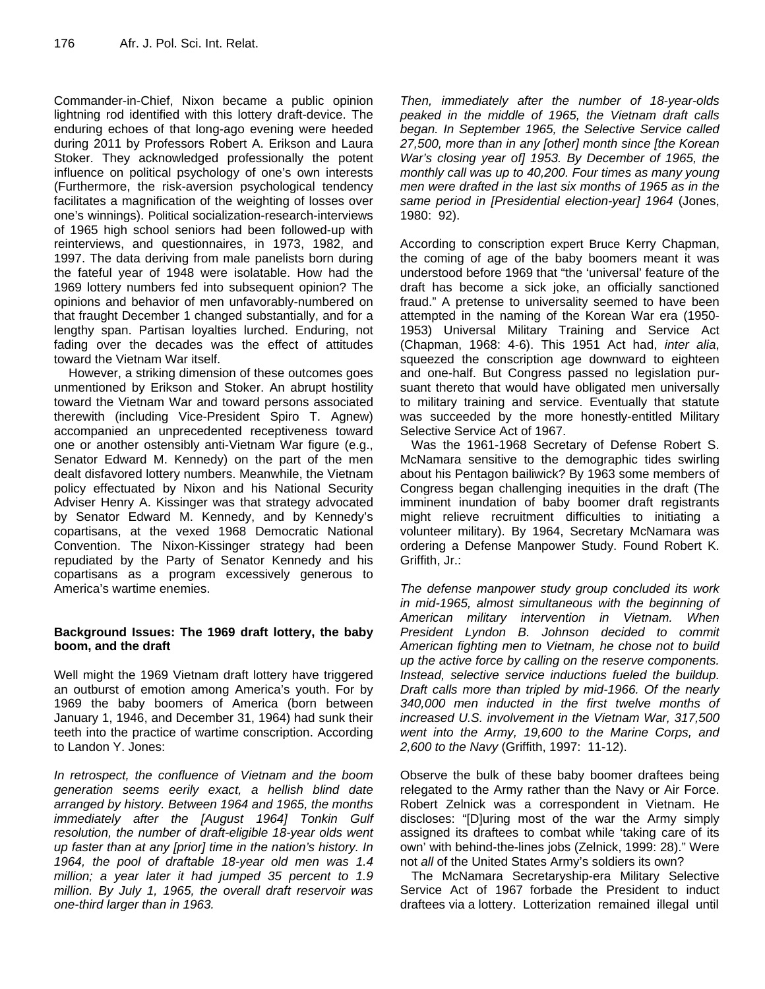Commander-in-Chief, Nixon became a public opinion lightning rod identified with this lottery draft-device. The enduring echoes of that long-ago evening were heeded during 2011 by Professors Robert A. Erikson and Laura Stoker. They acknowledged professionally the potent influence on political psychology of one's own interests (Furthermore, the risk-aversion psychological tendency facilitates a magnification of the weighting of losses over one's winnings). Political socialization-research-interviews of 1965 high school seniors had been followed-up with reinterviews, and questionnaires, in 1973, 1982, and 1997. The data deriving from male panelists born during the fateful year of 1948 were isolatable. How had the 1969 lottery numbers fed into subsequent opinion? The opinions and behavior of men unfavorably-numbered on that fraught December 1 changed substantially, and for a lengthy span. Partisan loyalties lurched. Enduring, not fading over the decades was the effect of attitudes toward the Vietnam War itself.

 However, a striking dimension of these outcomes goes unmentioned by Erikson and Stoker. An abrupt hostility toward the Vietnam War and toward persons associated therewith (including Vice-President Spiro T. Agnew) accompanied an unprecedented receptiveness toward one or another ostensibly anti-Vietnam War figure (e.g., Senator Edward M. Kennedy) on the part of the men dealt disfavored lottery numbers. Meanwhile, the Vietnam policy effectuated by Nixon and his National Security Adviser Henry A. Kissinger was that strategy advocated by Senator Edward M. Kennedy, and by Kennedy's copartisans, at the vexed 1968 Democratic National Convention. The Nixon-Kissinger strategy had been repudiated by the Party of Senator Kennedy and his copartisans as a program excessively generous to America's wartime enemies.

#### **Background Issues: The 1969 draft lottery, the baby boom, and the draft**

Well might the 1969 Vietnam draft lottery have triggered an outburst of emotion among America's youth. For by 1969 the baby boomers of America (born between January 1, 1946, and December 31, 1964) had sunk their teeth into the practice of wartime conscription. According to Landon Y. Jones:

*In retrospect, the confluence of Vietnam and the boom generation seems eerily exact, a hellish blind date arranged by history. Between 1964 and 1965, the months immediately after the [August 1964] Tonkin Gulf resolution, the number of draft-eligible 18-year olds went up faster than at any [prior] time in the nation's history. In 1964, the pool of draftable 18-year old men was 1.4 million; a year later it had jumped 35 percent to 1.9 million. By July 1, 1965, the overall draft reservoir was one-third larger than in 1963.* 

*Then, immediately after the number of 18-year-olds peaked in the middle of 1965, the Vietnam draft calls began. In September 1965, the Selective Service called 27,500, more than in any [other] month since [the Korean War's closing year of] 1953. By December of 1965, the monthly call was up to 40,200. Four times as many young men were drafted in the last six months of 1965 as in the same period in [Presidential election-year] 1964* (Jones, 1980: 92).

According to conscription expert Bruce Kerry Chapman, the coming of age of the baby boomers meant it was understood before 1969 that "the 'universal' feature of the draft has become a sick joke, an officially sanctioned fraud." A pretense to universality seemed to have been attempted in the naming of the Korean War era (1950- 1953) Universal Military Training and Service Act (Chapman, 1968: 4-6). This 1951 Act had, *inter alia*, squeezed the conscription age downward to eighteen and one-half. But Congress passed no legislation pursuant thereto that would have obligated men universally to military training and service. Eventually that statute was succeeded by the more honestly-entitled Military Selective Service Act of 1967.

Was the 1961-1968 Secretary of Defense Robert S. McNamara sensitive to the demographic tides swirling about his Pentagon bailiwick? By 1963 some members of Congress began challenging inequities in the draft (The imminent inundation of baby boomer draft registrants might relieve recruitment difficulties to initiating a volunteer military). By 1964, Secretary McNamara was ordering a Defense Manpower Study. Found Robert K. Griffith, Jr.:

*The defense manpower study group concluded its work in mid-1965, almost simultaneous with the beginning of American military intervention in Vietnam. When President Lyndon B. Johnson decided to commit American fighting men to Vietnam, he chose not to build up the active force by calling on the reserve components. Instead, selective service inductions fueled the buildup. Draft calls more than tripled by mid-1966. Of the nearly 340,000 men inducted in the first twelve months of increased U.S. involvement in the Vietnam War, 317,500 went into the Army, 19,600 to the Marine Corps, and 2,600 to the Navy* (Griffith, 1997: 11-12).

Observe the bulk of these baby boomer draftees being relegated to the Army rather than the Navy or Air Force. Robert Zelnick was a correspondent in Vietnam. He discloses: "[D]uring most of the war the Army simply assigned its draftees to combat while 'taking care of its own' with behind-the-lines jobs (Zelnick, 1999: 28)." Were not *all* of the United States Army's soldiers its own?

The McNamara Secretaryship-era Military Selective Service Act of 1967 forbade the President to induct draftees via a lottery. Lotterization remained illegal until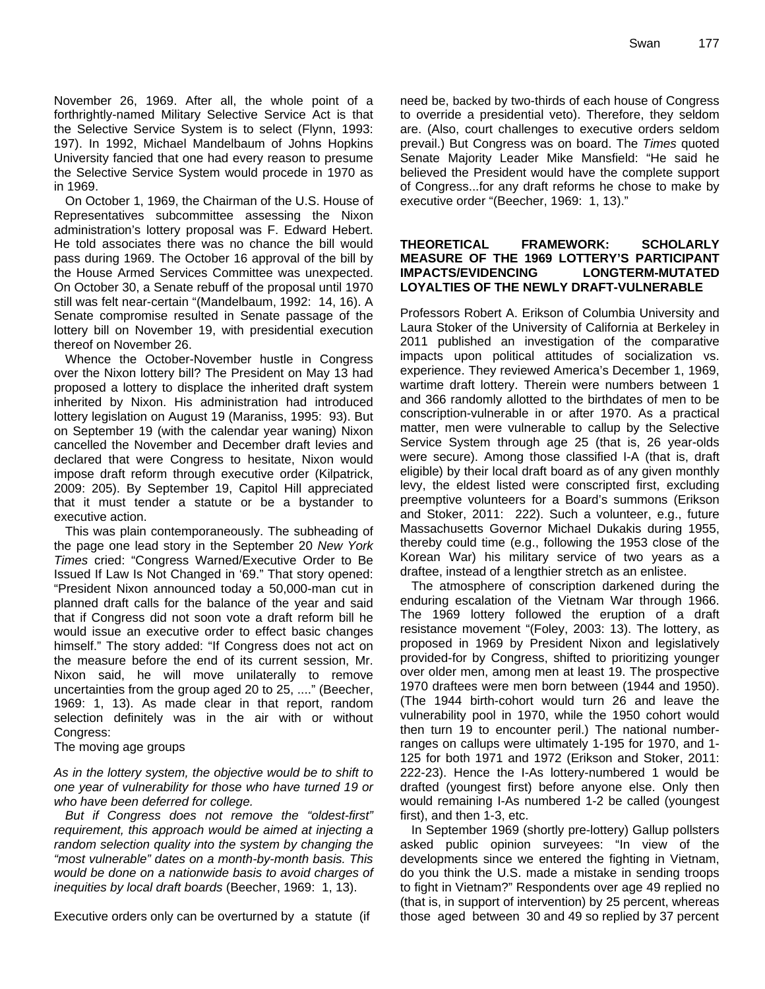November 26, 1969. After all, the whole point of a forthrightly-named Military Selective Service Act is that the Selective Service System is to select (Flynn, 1993: 197). In 1992, Michael Mandelbaum of Johns Hopkins University fancied that one had every reason to presume the Selective Service System would procede in 1970 as in 1969.

On October 1, 1969, the Chairman of the U.S. House of Representatives subcommittee assessing the Nixon administration's lottery proposal was F. Edward Hebert. He told associates there was no chance the bill would pass during 1969. The October 16 approval of the bill by the House Armed Services Committee was unexpected. On October 30, a Senate rebuff of the proposal until 1970 still was felt near-certain "(Mandelbaum, 1992: 14, 16). A Senate compromise resulted in Senate passage of the lottery bill on November 19, with presidential execution thereof on November 26.

Whence the October-November hustle in Congress over the Nixon lottery bill? The President on May 13 had proposed a lottery to displace the inherited draft system inherited by Nixon. His administration had introduced lottery legislation on August 19 (Maraniss, 1995: 93). But on September 19 (with the calendar year waning) Nixon cancelled the November and December draft levies and declared that were Congress to hesitate, Nixon would impose draft reform through executive order (Kilpatrick, 2009: 205). By September 19, Capitol Hill appreciated that it must tender a statute or be a bystander to executive action.

This was plain contemporaneously. The subheading of the page one lead story in the September 20 *New York Times* cried: "Congress Warned/Executive Order to Be Issued If Law Is Not Changed in '69." That story opened: "President Nixon announced today a 50,000-man cut in planned draft calls for the balance of the year and said that if Congress did not soon vote a draft reform bill he would issue an executive order to effect basic changes himself." The story added: "If Congress does not act on the measure before the end of its current session, Mr. Nixon said, he will move unilaterally to remove uncertainties from the group aged 20 to 25, ...." (Beecher, 1969: 1, 13). As made clear in that report, random selection definitely was in the air with or without Congress:

The moving age groups

*As in the lottery system, the objective would be to shift to one year of vulnerability for those who have turned 19 or who have been deferred for college.* 

*But if Congress does not remove the "oldest-first" requirement, this approach would be aimed at injecting a random selection quality into the system by changing the "most vulnerable" dates on a month-by-month basis. This would be done on a nationwide basis to avoid charges of inequities by local draft boards* (Beecher, 1969: 1, 13).

Executive orders only can be overturned by a statute (if

need be, backed by two-thirds of each house of Congress to override a presidential veto). Therefore, they seldom are. (Also, court challenges to executive orders seldom prevail.) But Congress was on board. The *Times* quoted Senate Majority Leader Mike Mansfield: "He said he believed the President would have the complete support of Congress...for any draft reforms he chose to make by executive order "(Beecher, 1969: 1, 13)."

#### **THEORETICAL FRAMEWORK: SCHOLARLY MEASURE OF THE 1969 LOTTERY'S PARTICIPANT IMPACTS/EVIDENCING LONGTERM-MUTATED LOYALTIES OF THE NEWLY DRAFT-VULNERABLE**

Professors Robert A. Erikson of Columbia University and Laura Stoker of the University of California at Berkeley in 2011 published an investigation of the comparative impacts upon political attitudes of socialization vs. experience. They reviewed America's December 1, 1969, wartime draft lottery. Therein were numbers between 1 and 366 randomly allotted to the birthdates of men to be conscription-vulnerable in or after 1970. As a practical matter, men were vulnerable to callup by the Selective Service System through age 25 (that is, 26 year-olds were secure). Among those classified I-A (that is, draft eligible) by their local draft board as of any given monthly levy, the eldest listed were conscripted first, excluding preemptive volunteers for a Board's summons (Erikson and Stoker, 2011: 222). Such a volunteer, e.g., future Massachusetts Governor Michael Dukakis during 1955, thereby could time (e.g., following the 1953 close of the Korean War) his military service of two years as a draftee, instead of a lengthier stretch as an enlistee.

The atmosphere of conscription darkened during the enduring escalation of the Vietnam War through 1966. The 1969 lottery followed the eruption of a draft resistance movement "(Foley, 2003: 13). The lottery, as proposed in 1969 by President Nixon and legislatively provided-for by Congress, shifted to prioritizing younger over older men, among men at least 19. The prospective 1970 draftees were men born between (1944 and 1950). (The 1944 birth-cohort would turn 26 and leave the vulnerability pool in 1970, while the 1950 cohort would then turn 19 to encounter peril.) The national numberranges on callups were ultimately 1-195 for 1970, and 1- 125 for both 1971 and 1972 (Erikson and Stoker, 2011: 222-23). Hence the I-As lottery-numbered 1 would be drafted (youngest first) before anyone else. Only then would remaining I-As numbered 1-2 be called (youngest first), and then 1-3, etc.

In September 1969 (shortly pre-lottery) Gallup pollsters asked public opinion surveyees: "In view of the developments since we entered the fighting in Vietnam, do you think the U.S. made a mistake in sending troops to fight in Vietnam?" Respondents over age 49 replied no (that is, in support of intervention) by 25 percent, whereas those aged between 30 and 49 so replied by 37 percent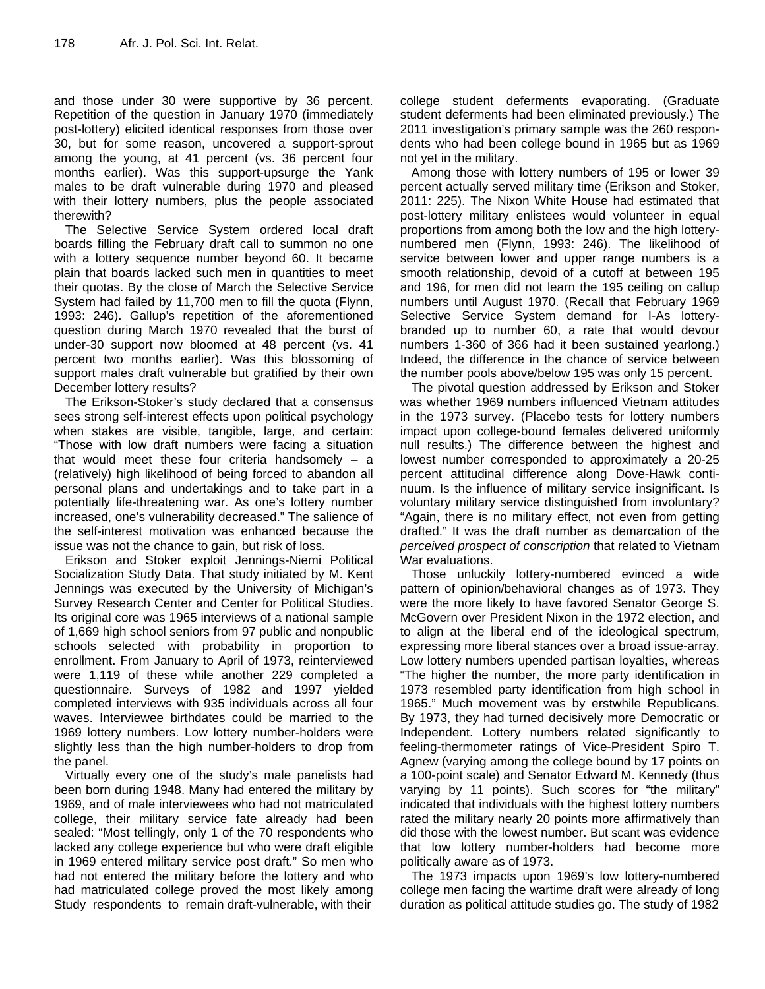and those under 30 were supportive by 36 percent. Repetition of the question in January 1970 (immediately post-lottery) elicited identical responses from those over 30, but for some reason, uncovered a support-sprout among the young, at 41 percent (vs. 36 percent four months earlier). Was this support-upsurge the Yank males to be draft vulnerable during 1970 and pleased with their lottery numbers, plus the people associated therewith?

The Selective Service System ordered local draft boards filling the February draft call to summon no one with a lottery sequence number beyond 60. It became plain that boards lacked such men in quantities to meet their quotas. By the close of March the Selective Service System had failed by 11,700 men to fill the quota (Flynn, 1993: 246). Gallup's repetition of the aforementioned question during March 1970 revealed that the burst of under-30 support now bloomed at 48 percent (vs. 41 percent two months earlier). Was this blossoming of support males draft vulnerable but gratified by their own December lottery results?

The Erikson-Stoker's study declared that a consensus sees strong self-interest effects upon political psychology when stakes are visible, tangible, large, and certain: "Those with low draft numbers were facing a situation that would meet these four criteria handsomely – a (relatively) high likelihood of being forced to abandon all personal plans and undertakings and to take part in a potentially life-threatening war. As one's lottery number increased, one's vulnerability decreased." The salience of the self-interest motivation was enhanced because the issue was not the chance to gain, but risk of loss.

Erikson and Stoker exploit Jennings-Niemi Political Socialization Study Data. That study initiated by M. Kent Jennings was executed by the University of Michigan's Survey Research Center and Center for Political Studies. Its original core was 1965 interviews of a national sample of 1,669 high school seniors from 97 public and nonpublic schools selected with probability in proportion to enrollment. From January to April of 1973, reinterviewed were 1,119 of these while another 229 completed a questionnaire. Surveys of 1982 and 1997 yielded completed interviews with 935 individuals across all four waves. Interviewee birthdates could be married to the 1969 lottery numbers. Low lottery number-holders were slightly less than the high number-holders to drop from the panel.

Virtually every one of the study's male panelists had been born during 1948. Many had entered the military by 1969, and of male interviewees who had not matriculated college, their military service fate already had been sealed: "Most tellingly, only 1 of the 70 respondents who lacked any college experience but who were draft eligible in 1969 entered military service post draft." So men who had not entered the military before the lottery and who had matriculated college proved the most likely among Study respondents to remain draft-vulnerable, with their college student deferments evaporating. (Graduate student deferments had been eliminated previously.) The 2011 investigation's primary sample was the 260 respondents who had been college bound in 1965 but as 1969 not yet in the military.

Among those with lottery numbers of 195 or lower 39 percent actually served military time (Erikson and Stoker, 2011: 225). The Nixon White House had estimated that post-lottery military enlistees would volunteer in equal proportions from among both the low and the high lotterynumbered men (Flynn, 1993: 246). The likelihood of service between lower and upper range numbers is a smooth relationship, devoid of a cutoff at between 195 and 196, for men did not learn the 195 ceiling on callup numbers until August 1970. (Recall that February 1969 Selective Service System demand for I-As lotterybranded up to number 60, a rate that would devour numbers 1-360 of 366 had it been sustained yearlong.) Indeed, the difference in the chance of service between the number pools above/below 195 was only 15 percent.

The pivotal question addressed by Erikson and Stoker was whether 1969 numbers influenced Vietnam attitudes in the 1973 survey. (Placebo tests for lottery numbers impact upon college-bound females delivered uniformly null results.) The difference between the highest and lowest number corresponded to approximately a 20-25 percent attitudinal difference along Dove-Hawk continuum. Is the influence of military service insignificant. Is voluntary military service distinguished from involuntary? "Again, there is no military effect, not even from getting drafted." It was the draft number as demarcation of the *perceived prospect of conscription* that related to Vietnam War evaluations.

Those unluckily lottery-numbered evinced a wide pattern of opinion/behavioral changes as of 1973. They were the more likely to have favored Senator George S. McGovern over President Nixon in the 1972 election, and to align at the liberal end of the ideological spectrum, expressing more liberal stances over a broad issue-array. Low lottery numbers upended partisan loyalties, whereas "The higher the number, the more party identification in 1973 resembled party identification from high school in 1965." Much movement was by erstwhile Republicans. By 1973, they had turned decisively more Democratic or Independent. Lottery numbers related significantly to feeling-thermometer ratings of Vice-President Spiro T. Agnew (varying among the college bound by 17 points on a 100-point scale) and Senator Edward M. Kennedy (thus varying by 11 points). Such scores for "the military" indicated that individuals with the highest lottery numbers rated the military nearly 20 points more affirmatively than did those with the lowest number. But scant was evidence that low lottery number-holders had become more politically aware as of 1973.

The 1973 impacts upon 1969's low lottery-numbered college men facing the wartime draft were already of long duration as political attitude studies go. The study of 1982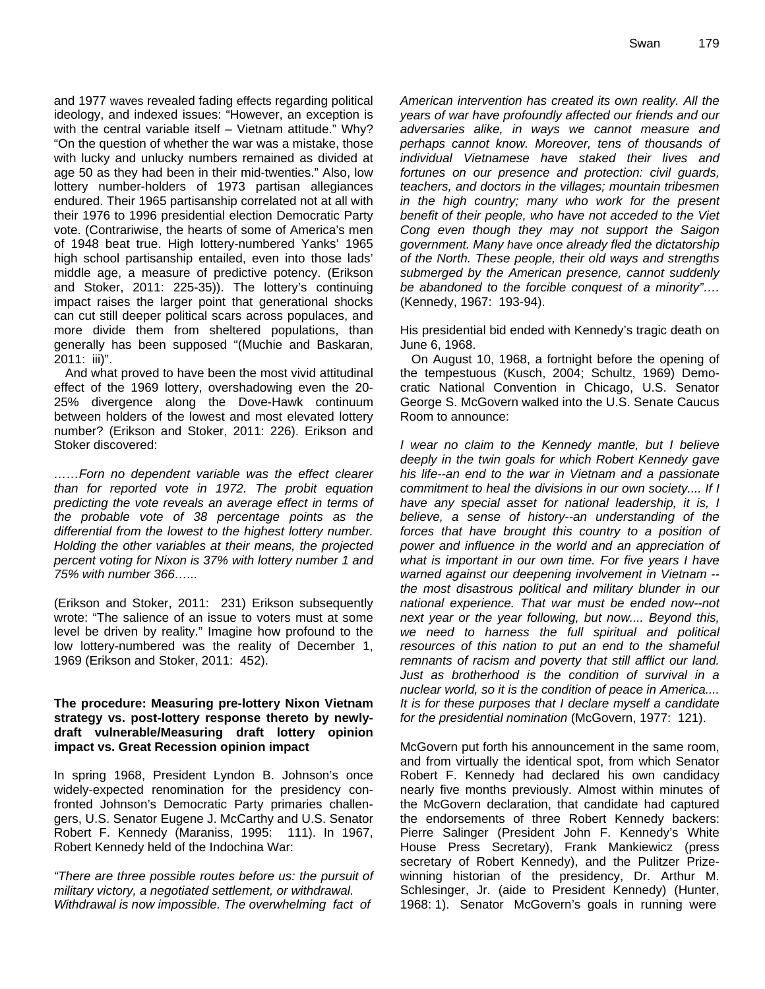and 1977 waves revealed fading effects regarding political ideology, and indexed issues: "However, an exception is with the central variable itself - Vietnam attitude." Why? "On the question of whether the war was a mistake, those with lucky and unlucky numbers remained as divided at age 50 as they had been in their mid-twenties." Also, low lottery number-holders of 1973 partisan allegiances endured. Their 1965 partisanship correlated not at all with their 1976 to 1996 presidential election Democratic Party vote. (Contrariwise, the hearts of some of America's men of 1948 beat true. High lottery-numbered Yanks' 1965 high school partisanship entailed, even into those lads' middle age, a measure of predictive potency. (Erikson and Stoker, 2011: 225-35)). The lottery's continuing impact raises the larger point that generational shocks can cut still deeper political scars across populaces, and more divide them from sheltered populations, than generally has been supposed "(Muchie and Baskaran, 2011: iii)".

And what proved to have been the most vivid attitudinal effect of the 1969 lottery, overshadowing even the 20- 25% divergence along the Dove-Hawk continuum between holders of the lowest and most elevated lottery number? (Erikson and Stoker, 2011: 226). Erikson and Stoker discovered:

*……Forn no dependent variable was the effect clearer than for reported vote in 1972. The probit equation predicting the vote reveals an average effect in terms of the probable vote of 38 percentage points as the differential from the lowest to the highest lottery number. Holding the other variables at their means, the projected percent voting for Nixon is 37% with lottery number 1 and 75% with number 366…...* 

(Erikson and Stoker, 2011: 231) Erikson subsequently wrote: "The salience of an issue to voters must at some level be driven by reality." Imagine how profound to the low lottery-numbered was the reality of December 1, 1969 (Erikson and Stoker, 2011: 452).

#### **The procedure: Measuring pre-lottery Nixon Vietnam strategy vs. post-lottery response thereto by newlydraft vulnerable/Measuring draft lottery opinion impact vs. Great Recession opinion impact**

In spring 1968, President Lyndon B. Johnson's once widely-expected renomination for the presidency confronted Johnson's Democratic Party primaries challengers, U.S. Senator Eugene J. McCarthy and U.S. Senator Robert F. Kennedy (Maraniss, 1995: 111). In 1967, Robert Kennedy held of the Indochina War:

*"There are three possible routes before us: the pursuit of military victory, a negotiated settlement, or withdrawal. Withdrawal is now impossible. The overwhelming fact of* 

*American intervention has created its own reality. All the years of war have profoundly affected our friends and our adversaries alike, in ways we cannot measure and perhaps cannot know. Moreover, tens of thousands of individual Vietnamese have staked their lives and fortunes on our presence and protection: civil guards, teachers, and doctors in the villages; mountain tribesmen in the high country; many who work for the present benefit of their people, who have not acceded to the Viet Cong even though they may not support the Saigon government. Many have once already fled the dictatorship of the North. These people, their old ways and strengths submerged by the American presence, cannot suddenly be abandoned to the forcible conquest of a minority"….* (Kennedy, 1967: 193-94).

His presidential bid ended with Kennedy's tragic death on June 6, 1968.

On August 10, 1968, a fortnight before the opening of the tempestuous (Kusch, 2004; Schultz, 1969) Democratic National Convention in Chicago, U.S. Senator George S. McGovern walked into the U.S. Senate Caucus Room to announce:

*I wear no claim to the Kennedy mantle, but I believe deeply in the twin goals for which Robert Kennedy gave his life--an end to the war in Vietnam and a passionate commitment to heal the divisions in our own society.... If I have any special asset for national leadership, it is, I believe, a sense of history--an understanding of the*  forces that have brought this country to a position of *power and influence in the world and an appreciation of what is important in our own time. For five years I have warned against our deepening involvement in Vietnam - the most disastrous political and military blunder in our national experience. That war must be ended now--not next year or the year following, but now.... Beyond this, we need to harness the full spiritual and political resources of this nation to put an end to the shameful remnants of racism and poverty that still afflict our land. Just as brotherhood is the condition of survival in a nuclear world, so it is the condition of peace in America.... It is for these purposes that I declare myself a candidate for the presidential nomination* (McGovern, 1977: 121).

McGovern put forth his announcement in the same room, and from virtually the identical spot, from which Senator Robert F. Kennedy had declared his own candidacy nearly five months previously. Almost within minutes of the McGovern declaration, that candidate had captured the endorsements of three Robert Kennedy backers: Pierre Salinger (President John F. Kennedy's White House Press Secretary), Frank Mankiewicz (press secretary of Robert Kennedy), and the Pulitzer Prizewinning historian of the presidency, Dr. Arthur M. Schlesinger, Jr. (aide to President Kennedy) (Hunter, 1968: 1). Senator McGovern's goals in running were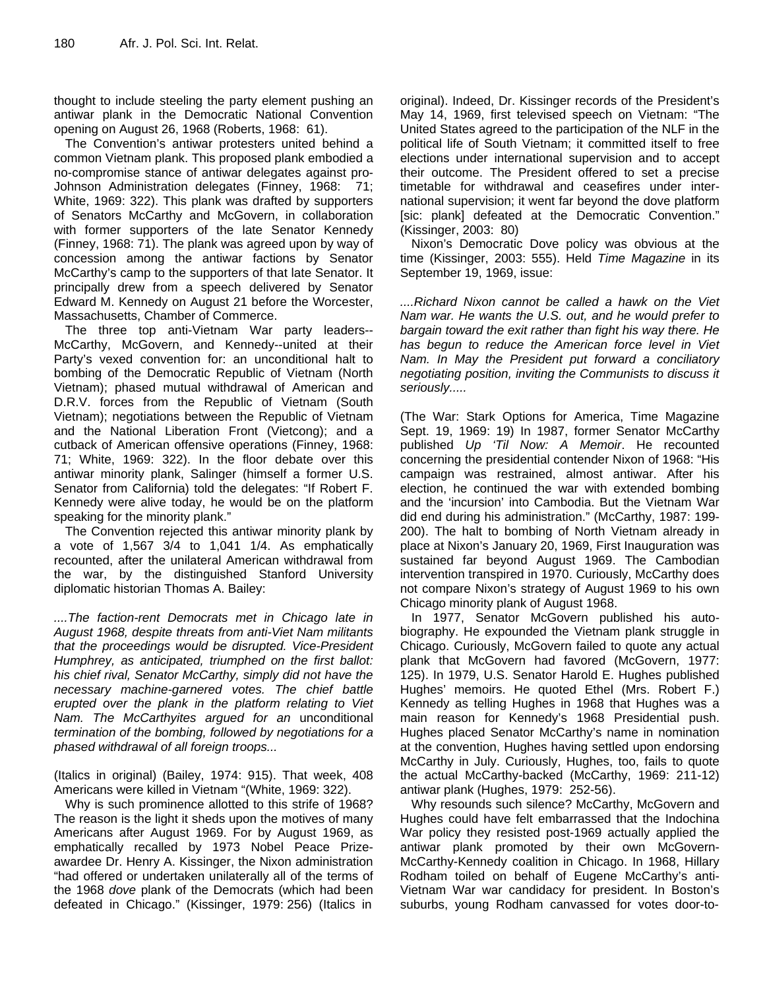thought to include steeling the party element pushing an antiwar plank in the Democratic National Convention opening on August 26, 1968 (Roberts, 1968: 61).

The Convention's antiwar protesters united behind a common Vietnam plank. This proposed plank embodied a no-compromise stance of antiwar delegates against pro-Johnson Administration delegates (Finney, 1968: 71; White, 1969: 322). This plank was drafted by supporters of Senators McCarthy and McGovern, in collaboration with former supporters of the late Senator Kennedy (Finney, 1968: 71). The plank was agreed upon by way of concession among the antiwar factions by Senator McCarthy's camp to the supporters of that late Senator. It principally drew from a speech delivered by Senator Edward M. Kennedy on August 21 before the Worcester, Massachusetts, Chamber of Commerce.

The three top anti-Vietnam War party leaders-- McCarthy, McGovern, and Kennedy--united at their Party's vexed convention for: an unconditional halt to bombing of the Democratic Republic of Vietnam (North Vietnam); phased mutual withdrawal of American and D.R.V. forces from the Republic of Vietnam (South Vietnam); negotiations between the Republic of Vietnam and the National Liberation Front (Vietcong); and a cutback of American offensive operations (Finney, 1968: 71; White, 1969: 322). In the floor debate over this antiwar minority plank, Salinger (himself a former U.S. Senator from California) told the delegates: "If Robert F. Kennedy were alive today, he would be on the platform speaking for the minority plank."

The Convention rejected this antiwar minority plank by a vote of 1,567 3/4 to 1,041 1/4. As emphatically recounted, after the unilateral American withdrawal from the war, by the distinguished Stanford University diplomatic historian Thomas A. Bailey:

*....The faction-rent Democrats met in Chicago late in August 1968, despite threats from anti-Viet Nam militants that the proceedings would be disrupted. Vice-President Humphrey, as anticipated, triumphed on the first ballot: his chief rival, Senator McCarthy, simply did not have the necessary machine-garnered votes. The chief battle erupted over the plank in the platform relating to Viet Nam. The McCarthyites argued for an* unconditional *termination of the bombing, followed by negotiations for a phased withdrawal of all foreign troops...* 

(Italics in original) (Bailey, 1974: 915). That week, 408 Americans were killed in Vietnam "(White, 1969: 322).

Why is such prominence allotted to this strife of 1968? The reason is the light it sheds upon the motives of many Americans after August 1969. For by August 1969, as emphatically recalled by 1973 Nobel Peace Prizeawardee Dr. Henry A. Kissinger, the Nixon administration "had offered or undertaken unilaterally all of the terms of the 1968 *dove* plank of the Democrats (which had been defeated in Chicago." (Kissinger, 1979: 256) (Italics in original). Indeed, Dr. Kissinger records of the President's May 14, 1969, first televised speech on Vietnam: "The United States agreed to the participation of the NLF in the political life of South Vietnam; it committed itself to free elections under international supervision and to accept their outcome. The President offered to set a precise timetable for withdrawal and ceasefires under international supervision; it went far beyond the dove platform [sic: plank] defeated at the Democratic Convention." (Kissinger, 2003: 80)

Nixon's Democratic Dove policy was obvious at the time (Kissinger, 2003: 555). Held *Time Magazine* in its September 19, 1969, issue:

*....Richard Nixon cannot be called a hawk on the Viet Nam war. He wants the U.S. out, and he would prefer to bargain toward the exit rather than fight his way there. He has begun to reduce the American force level in Viet Nam. In May the President put forward a conciliatory negotiating position, inviting the Communists to discuss it seriously.....* 

(The War: Stark Options for America, Time Magazine Sept. 19, 1969: 19) In 1987, former Senator McCarthy published *Up 'Til Now: A Memoir*. He recounted concerning the presidential contender Nixon of 1968: "His campaign was restrained, almost antiwar. After his election, he continued the war with extended bombing and the 'incursion' into Cambodia. But the Vietnam War did end during his administration." (McCarthy, 1987: 199- 200). The halt to bombing of North Vietnam already in place at Nixon's January 20, 1969, First Inauguration was sustained far beyond August 1969. The Cambodian intervention transpired in 1970. Curiously, McCarthy does not compare Nixon's strategy of August 1969 to his own Chicago minority plank of August 1968.

In 1977, Senator McGovern published his autobiography. He expounded the Vietnam plank struggle in Chicago. Curiously, McGovern failed to quote any actual plank that McGovern had favored (McGovern, 1977: 125). In 1979, U.S. Senator Harold E. Hughes published Hughes' memoirs. He quoted Ethel (Mrs. Robert F.) Kennedy as telling Hughes in 1968 that Hughes was a main reason for Kennedy's 1968 Presidential push. Hughes placed Senator McCarthy's name in nomination at the convention, Hughes having settled upon endorsing McCarthy in July. Curiously, Hughes, too, fails to quote the actual McCarthy-backed (McCarthy, 1969: 211-12) antiwar plank (Hughes, 1979: 252-56).

Why resounds such silence? McCarthy, McGovern and Hughes could have felt embarrassed that the Indochina War policy they resisted post-1969 actually applied the antiwar plank promoted by their own McGovern-McCarthy-Kennedy coalition in Chicago. In 1968, Hillary Rodham toiled on behalf of Eugene McCarthy's anti-Vietnam War war candidacy for president. In Boston's suburbs, young Rodham canvassed for votes door-to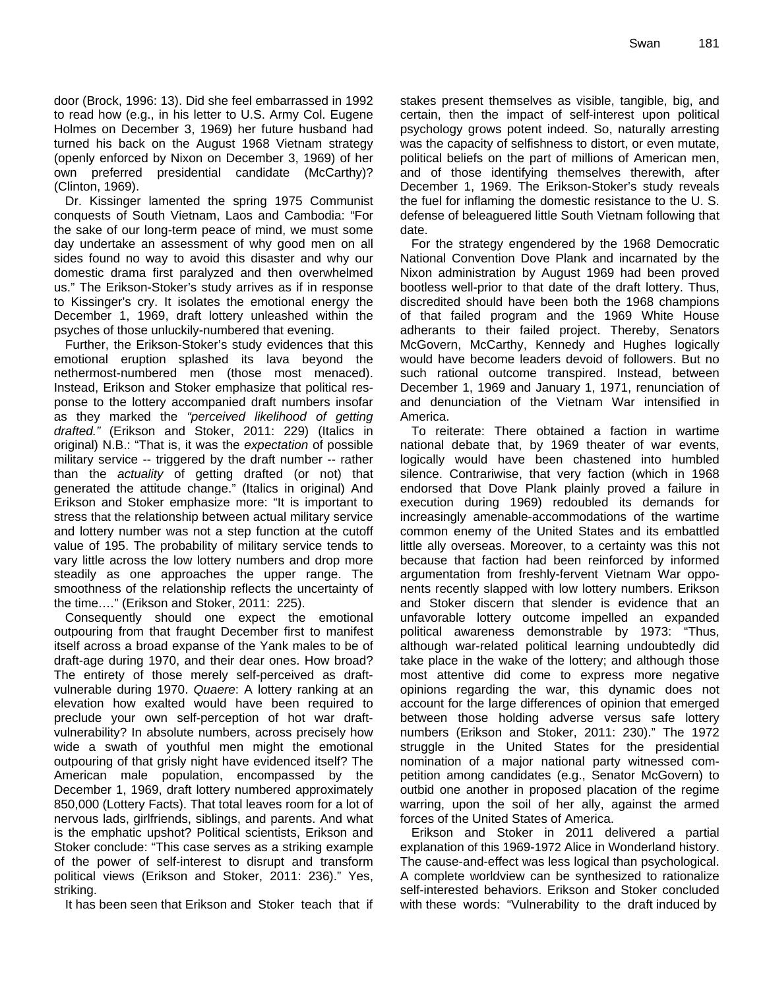door (Brock, 1996: 13). Did she feel embarrassed in 1992 to read how (e.g., in his letter to U.S. Army Col. Eugene Holmes on December 3, 1969) her future husband had turned his back on the August 1968 Vietnam strategy (openly enforced by Nixon on December 3, 1969) of her own preferred presidential candidate (McCarthy)? (Clinton, 1969).

Dr. Kissinger lamented the spring 1975 Communist conquests of South Vietnam, Laos and Cambodia: "For the sake of our long-term peace of mind, we must some day undertake an assessment of why good men on all sides found no way to avoid this disaster and why our domestic drama first paralyzed and then overwhelmed us." The Erikson-Stoker's study arrives as if in response to Kissinger's cry. It isolates the emotional energy the December 1, 1969, draft lottery unleashed within the psyches of those unluckily-numbered that evening.

Further, the Erikson-Stoker's study evidences that this emotional eruption splashed its lava beyond the nethermost-numbered men (those most menaced). Instead, Erikson and Stoker emphasize that political response to the lottery accompanied draft numbers insofar as they marked the *"perceived likelihood of getting drafted."* (Erikson and Stoker, 2011: 229) (Italics in original) N.B.: "That is, it was the *expectation* of possible military service -- triggered by the draft number -- rather than the *actuality* of getting drafted (or not) that generated the attitude change." (Italics in original) And Erikson and Stoker emphasize more: "It is important to stress that the relationship between actual military service and lottery number was not a step function at the cutoff value of 195. The probability of military service tends to vary little across the low lottery numbers and drop more steadily as one approaches the upper range. The smoothness of the relationship reflects the uncertainty of the time.…" (Erikson and Stoker, 2011: 225).

Consequently should one expect the emotional outpouring from that fraught December first to manifest itself across a broad expanse of the Yank males to be of draft-age during 1970, and their dear ones. How broad? The entirety of those merely self-perceived as draftvulnerable during 1970. *Quaere*: A lottery ranking at an elevation how exalted would have been required to preclude your own self-perception of hot war draftvulnerability? In absolute numbers, across precisely how wide a swath of youthful men might the emotional outpouring of that grisly night have evidenced itself? The American male population, encompassed by the December 1, 1969, draft lottery numbered approximately 850,000 (Lottery Facts). That total leaves room for a lot of nervous lads, girlfriends, siblings, and parents. And what is the emphatic upshot? Political scientists, Erikson and Stoker conclude: "This case serves as a striking example of the power of self-interest to disrupt and transform political views (Erikson and Stoker, 2011: 236)." Yes, striking.

It has been seen that Erikson and Stoker teach that if

stakes present themselves as visible, tangible, big, and certain, then the impact of self-interest upon political psychology grows potent indeed. So, naturally arresting was the capacity of selfishness to distort, or even mutate, political beliefs on the part of millions of American men, and of those identifying themselves therewith, after December 1, 1969. The Erikson-Stoker's study reveals the fuel for inflaming the domestic resistance to the U. S. defense of beleaguered little South Vietnam following that date.

For the strategy engendered by the 1968 Democratic National Convention Dove Plank and incarnated by the Nixon administration by August 1969 had been proved bootless well-prior to that date of the draft lottery. Thus, discredited should have been both the 1968 champions of that failed program and the 1969 White House adherants to their failed project. Thereby, Senators McGovern, McCarthy, Kennedy and Hughes logically would have become leaders devoid of followers. But no such rational outcome transpired. Instead, between December 1, 1969 and January 1, 1971, renunciation of and denunciation of the Vietnam War intensified in America.

To reiterate: There obtained a faction in wartime national debate that, by 1969 theater of war events, logically would have been chastened into humbled silence. Contrariwise, that very faction (which in 1968 endorsed that Dove Plank plainly proved a failure in execution during 1969) redoubled its demands for increasingly amenable-accommodations of the wartime common enemy of the United States and its embattled little ally overseas. Moreover, to a certainty was this not because that faction had been reinforced by informed argumentation from freshly-fervent Vietnam War opponents recently slapped with low lottery numbers. Erikson and Stoker discern that slender is evidence that an unfavorable lottery outcome impelled an expanded political awareness demonstrable by 1973: "Thus, although war-related political learning undoubtedly did take place in the wake of the lottery; and although those most attentive did come to express more negative opinions regarding the war, this dynamic does not account for the large differences of opinion that emerged between those holding adverse versus safe lottery numbers (Erikson and Stoker, 2011: 230)." The 1972 struggle in the United States for the presidential nomination of a major national party witnessed competition among candidates (e.g., Senator McGovern) to outbid one another in proposed placation of the regime warring, upon the soil of her ally, against the armed forces of the United States of America.

Erikson and Stoker in 2011 delivered a partial explanation of this 1969-1972 Alice in Wonderland history. The cause-and-effect was less logical than psychological. A complete worldview can be synthesized to rationalize self-interested behaviors. Erikson and Stoker concluded with these words: "Vulnerability to the draft induced by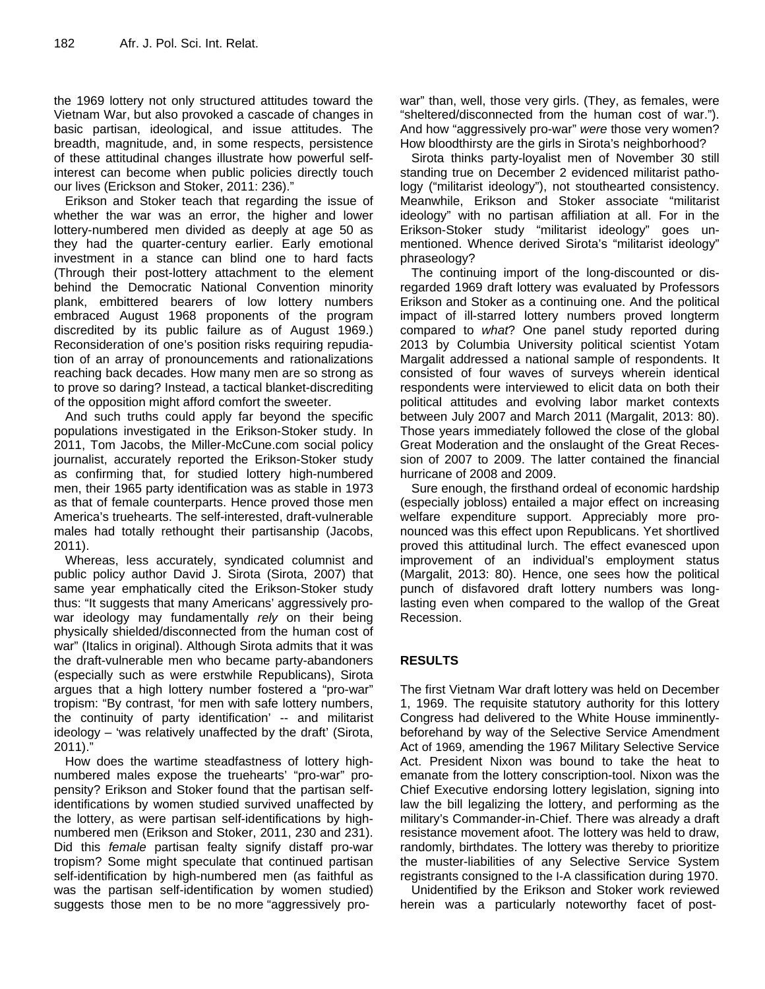the 1969 lottery not only structured attitudes toward the Vietnam War, but also provoked a cascade of changes in basic partisan, ideological, and issue attitudes. The breadth, magnitude, and, in some respects, persistence of these attitudinal changes illustrate how powerful selfinterest can become when public policies directly touch our lives (Erickson and Stoker, 2011: 236)."

Erikson and Stoker teach that regarding the issue of whether the war was an error, the higher and lower lottery-numbered men divided as deeply at age 50 as they had the quarter-century earlier. Early emotional investment in a stance can blind one to hard facts (Through their post-lottery attachment to the element behind the Democratic National Convention minority plank, embittered bearers of low lottery numbers embraced August 1968 proponents of the program discredited by its public failure as of August 1969.) Reconsideration of one's position risks requiring repudiation of an array of pronouncements and rationalizations reaching back decades. How many men are so strong as to prove so daring? Instead, a tactical blanket-discrediting of the opposition might afford comfort the sweeter.

And such truths could apply far beyond the specific populations investigated in the Erikson-Stoker study. In 2011, Tom Jacobs, the Miller-McCune.com social policy journalist, accurately reported the Erikson-Stoker study as confirming that, for studied lottery high-numbered men, their 1965 party identification was as stable in 1973 as that of female counterparts. Hence proved those men America's truehearts. The self-interested, draft-vulnerable males had totally rethought their partisanship (Jacobs, 2011).

Whereas, less accurately, syndicated columnist and public policy author David J. Sirota (Sirota, 2007) that same year emphatically cited the Erikson-Stoker study thus: "It suggests that many Americans' aggressively prowar ideology may fundamentally *rely* on their being physically shielded/disconnected from the human cost of war" (Italics in original). Although Sirota admits that it was the draft-vulnerable men who became party-abandoners (especially such as were erstwhile Republicans), Sirota argues that a high lottery number fostered a "pro-war" tropism: "By contrast, 'for men with safe lottery numbers, the continuity of party identification' -- and militarist ideology – 'was relatively unaffected by the draft' (Sirota, 2011)."

How does the wartime steadfastness of lottery highnumbered males expose the truehearts' "pro-war" propensity? Erikson and Stoker found that the partisan selfidentifications by women studied survived unaffected by the lottery, as were partisan self-identifications by highnumbered men (Erikson and Stoker, 2011, 230 and 231). Did this *female* partisan fealty signify distaff pro-war tropism? Some might speculate that continued partisan self-identification by high-numbered men (as faithful as was the partisan self-identification by women studied) suggests those men to be no more "aggressively prowar" than, well, those very girls. (They, as females, were "sheltered/disconnected from the human cost of war."). And how "aggressively pro-war" *were* those very women? How bloodthirsty are the girls in Sirota's neighborhood?

Sirota thinks party-loyalist men of November 30 still standing true on December 2 evidenced militarist pathology ("militarist ideology"), not stouthearted consistency. Meanwhile, Erikson and Stoker associate "militarist ideology" with no partisan affiliation at all. For in the Erikson-Stoker study "militarist ideology" goes unmentioned. Whence derived Sirota's "militarist ideology" phraseology?

The continuing import of the long-discounted or disregarded 1969 draft lottery was evaluated by Professors Erikson and Stoker as a continuing one. And the political impact of ill-starred lottery numbers proved longterm compared to *what*? One panel study reported during 2013 by Columbia University political scientist Yotam Margalit addressed a national sample of respondents. It consisted of four waves of surveys wherein identical respondents were interviewed to elicit data on both their political attitudes and evolving labor market contexts between July 2007 and March 2011 (Margalit, 2013: 80). Those years immediately followed the close of the global Great Moderation and the onslaught of the Great Recession of 2007 to 2009. The latter contained the financial hurricane of 2008 and 2009.

Sure enough, the firsthand ordeal of economic hardship (especially jobloss) entailed a major effect on increasing welfare expenditure support. Appreciably more pronounced was this effect upon Republicans. Yet shortlived proved this attitudinal lurch. The effect evanesced upon improvement of an individual's employment status (Margalit, 2013: 80). Hence, one sees how the political punch of disfavored draft lottery numbers was longlasting even when compared to the wallop of the Great Recession.

#### **RESULTS**

The first Vietnam War draft lottery was held on December 1, 1969. The requisite statutory authority for this lottery Congress had delivered to the White House imminentlybeforehand by way of the Selective Service Amendment Act of 1969, amending the 1967 Military Selective Service Act. President Nixon was bound to take the heat to emanate from the lottery conscription-tool. Nixon was the Chief Executive endorsing lottery legislation, signing into law the bill legalizing the lottery, and performing as the military's Commander-in-Chief. There was already a draft resistance movement afoot. The lottery was held to draw, randomly, birthdates. The lottery was thereby to prioritize the muster-liabilities of any Selective Service System registrants consigned to the I-A classification during 1970.

Unidentified by the Erikson and Stoker work reviewed herein was a particularly noteworthy facet of post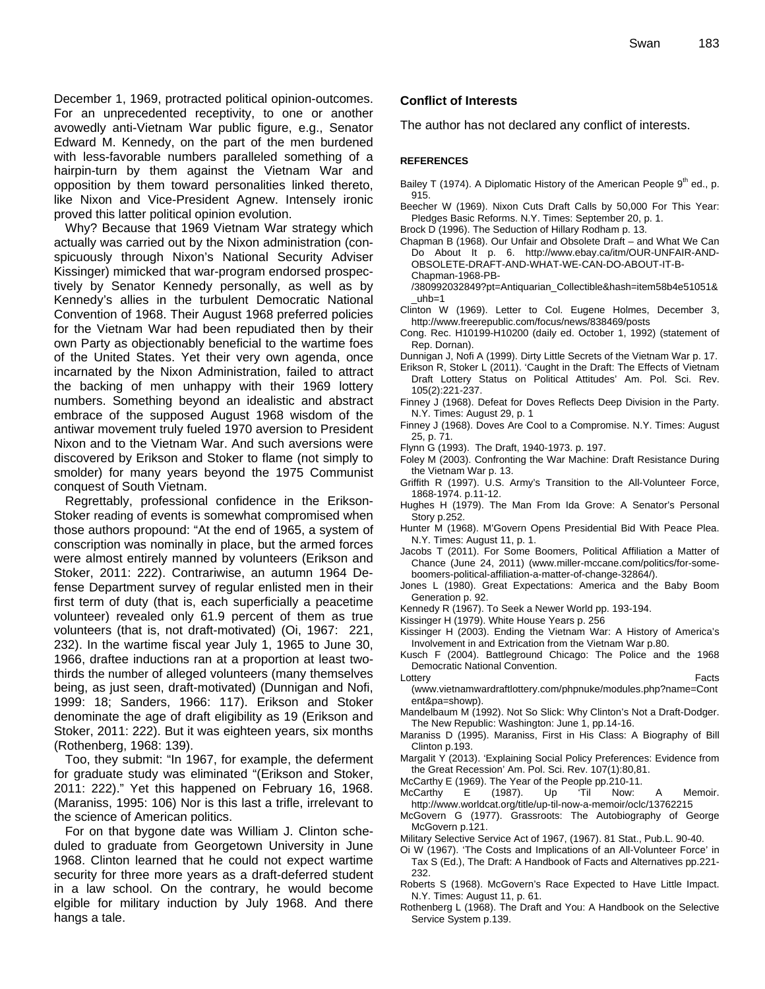December 1, 1969, protracted political opinion-outcomes. For an unprecedented receptivity, to one or another avowedly anti-Vietnam War public figure, e.g., Senator Edward M. Kennedy, on the part of the men burdened with less-favorable numbers paralleled something of a hairpin-turn by them against the Vietnam War and opposition by them toward personalities linked thereto, like Nixon and Vice-President Agnew. Intensely ironic proved this latter political opinion evolution.

Why? Because that 1969 Vietnam War strategy which actually was carried out by the Nixon administration (conspicuously through Nixon's National Security Adviser Kissinger) mimicked that war-program endorsed prospectively by Senator Kennedy personally, as well as by Kennedy's allies in the turbulent Democratic National Convention of 1968. Their August 1968 preferred policies for the Vietnam War had been repudiated then by their own Party as objectionably beneficial to the wartime foes of the United States. Yet their very own agenda, once incarnated by the Nixon Administration, failed to attract the backing of men unhappy with their 1969 lottery numbers. Something beyond an idealistic and abstract embrace of the supposed August 1968 wisdom of the antiwar movement truly fueled 1970 aversion to President Nixon and to the Vietnam War. And such aversions were discovered by Erikson and Stoker to flame (not simply to smolder) for many years beyond the 1975 Communist conquest of South Vietnam.

Regrettably, professional confidence in the Erikson-Stoker reading of events is somewhat compromised when those authors propound: "At the end of 1965, a system of conscription was nominally in place, but the armed forces were almost entirely manned by volunteers (Erikson and Stoker, 2011: 222). Contrariwise, an autumn 1964 Defense Department survey of regular enlisted men in their first term of duty (that is, each superficially a peacetime volunteer) revealed only 61.9 percent of them as true volunteers (that is, not draft-motivated) (Oi, 1967: 221, 232). In the wartime fiscal year July 1, 1965 to June 30, 1966, draftee inductions ran at a proportion at least twothirds the number of alleged volunteers (many themselves being, as just seen, draft-motivated) (Dunnigan and Nofi, 1999: 18; Sanders, 1966: 117). Erikson and Stoker denominate the age of draft eligibility as 19 (Erikson and Stoker, 2011: 222). But it was eighteen years, six months (Rothenberg, 1968: 139).

Too, they submit: "In 1967, for example, the deferment for graduate study was eliminated "(Erikson and Stoker, 2011: 222)." Yet this happened on February 16, 1968. (Maraniss, 1995: 106) Nor is this last a trifle, irrelevant to the science of American politics.

For on that bygone date was William J. Clinton scheduled to graduate from Georgetown University in June 1968. Clinton learned that he could not expect wartime security for three more years as a draft-deferred student in a law school. On the contrary, he would become elgible for military induction by July 1968. And there hangs a tale.

#### **Conflict of Interests**

The author has not declared any conflict of interests.

#### **REFERENCES**

- Bailey T (1974). A Diplomatic History of the American People  $9<sup>th</sup>$  ed., p. 915.
- Beecher W (1969). Nixon Cuts Draft Calls by 50,000 For This Year: Pledges Basic Reforms. N.Y. Times: September 20, p. 1.
- Brock D (1996). The Seduction of Hillary Rodham p. 13.
- Chapman B (1968). Our Unfair and Obsolete Draft and What We Can Do About It p. 6. http://www.ebay.ca/itm/OUR-UNFAIR-AND-OBSOLETE-DRAFT-AND-WHAT-WE-CAN-DO-ABOUT-IT-B-Chapman-1968-PB-
- /380992032849?pt=Antiquarian\_Collectible&hash=item58b4e51051& \_uhb=1
- Clinton W (1969). Letter to Col. Eugene Holmes, December 3, http://www.freerepublic.com/focus/news/838469/posts
- Cong. Rec. H10199-H10200 (daily ed. October 1, 1992) (statement of Rep. Dornan).
- Dunnigan J, Nofi A (1999). Dirty Little Secrets of the Vietnam War p. 17.
- Erikson R, Stoker L (2011). 'Caught in the Draft: The Effects of Vietnam Draft Lottery Status on Political Attitudes' Am. Pol. Sci. Rev. 105(2):221-237.
- Finney J (1968). Defeat for Doves Reflects Deep Division in the Party. N.Y. Times: August 29, p. 1
- Finney J (1968). Doves Are Cool to a Compromise. N.Y. Times: August 25, p. 71.
- Flynn G (1993). The Draft, 1940-1973. p. 197.
- Foley M (2003). Confronting the War Machine: Draft Resistance During the Vietnam War p. 13.
- Griffith R (1997). U.S. Army's Transition to the All-Volunteer Force, 1868-1974. p.11-12.
- Hughes H (1979). The Man From Ida Grove: A Senator's Personal Story p.252.
- Hunter M (1968). M'Govern Opens Presidential Bid With Peace Plea. N.Y. Times: August 11, p. 1.
- Jacobs T (2011). For Some Boomers, Political Affiliation a Matter of Chance (June 24, 2011) (www.miller-mccane.com/politics/for-someboomers-political-affiliation-a-matter-of-change-32864/).
- Jones L (1980). Great Expectations: America and the Baby Boom Generation p. 92.
- Kennedy R (1967). To Seek a Newer World pp. 193-194.
- Kissinger H (1979). White House Years p. 256
- Kissinger H (2003). Ending the Vietnam War: A History of America's Involvement in and Extrication from the Vietnam War p.80.
- Kusch F (2004). Battleground Chicago: The Police and the 1968 Democratic National Convention.
- Lottery **Facts**
- (www.vietnamwardraftlottery.com/phpnuke/modules.php?name=Cont ent&pa=showp).
- Mandelbaum M (1992). Not So Slick: Why Clinton's Not a Draft-Dodger. The New Republic: Washington: June 1, pp.14-16.
- Maraniss D (1995). Maraniss, First in His Class: A Biography of Bill Clinton p.193.
- Margalit Y (2013). 'Explaining Social Policy Preferences: Evidence from the Great Recession' Am. Pol. Sci. Rev. 107(1):80,81.

McCarthy E (1969). The Year of the People pp.210-11.

- McCarthy E (1987). Up 'Til Now: A Memoir. http://www.worldcat.org/title/up-til-now-a-memoir/oclc/13762215
- McGovern G (1977). Grassroots: The Autobiography of George McGovern p.121.
- Military Selective Service Act of 1967, (1967). 81 Stat., Pub.L. 90-40.
- Oi W (1967). 'The Costs and Implications of an All-Volunteer Force' in Tax S (Ed.), The Draft: A Handbook of Facts and Alternatives pp.221- 232.
- Roberts S (1968). McGovern's Race Expected to Have Little Impact. N.Y. Times: August 11, p. 61.
- Rothenberg L (1968). The Draft and You: A Handbook on the Selective Service System p.139.